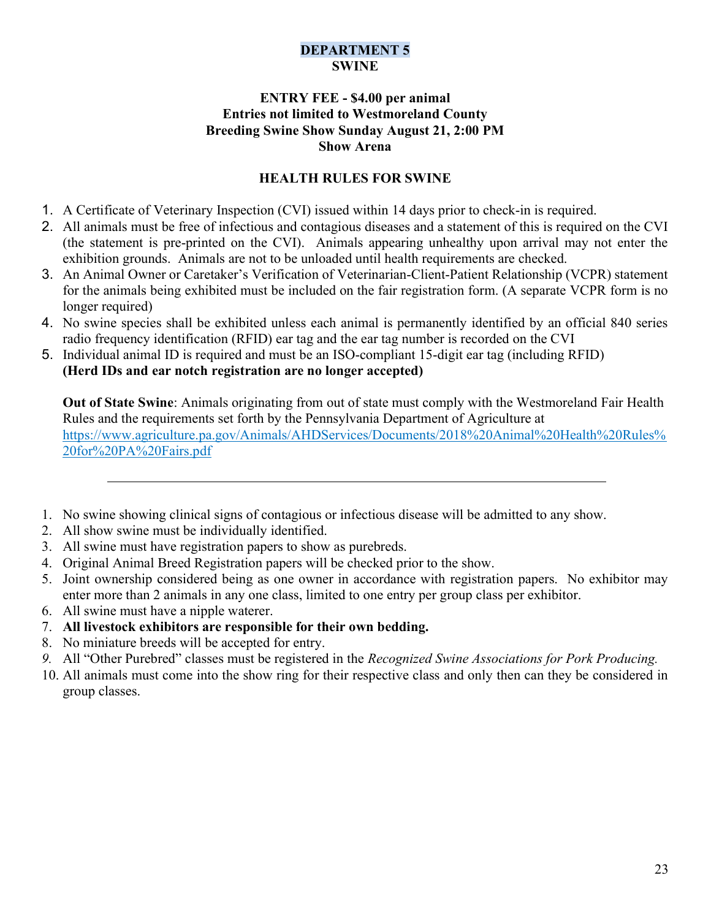## DEPARTMENT 5 **SWINE**

## ENTRY FEE - \$4.00 per animal Entries not limited to Westmoreland County Breeding Swine Show Sunday August 21, 2:00 PM Show Arena

## HEALTH RULES FOR SWINE

- 1. A Certificate of Veterinary Inspection (CVI) issued within 14 days prior to check-in is required.
- 2. All animals must be free of infectious and contagious diseases and a statement of this is required on the CVI (the statement is pre-printed on the CVI). Animals appearing unhealthy upon arrival may not enter the exhibition grounds. Animals are not to be unloaded until health requirements are checked.
- 3. An Animal Owner or Caretaker's Verification of Veterinarian-Client-Patient Relationship (VCPR) statement for the animals being exhibited must be included on the fair registration form. (A separate VCPR form is no longer required)
- 4. No swine species shall be exhibited unless each animal is permanently identified by an official 840 series radio frequency identification (RFID) ear tag and the ear tag number is recorded on the CVI
- 5. Individual animal ID is required and must be an ISO-compliant 15-digit ear tag (including RFID) (Herd IDs and ear notch registration are no longer accepted)

Out of State Swine: Animals originating from out of state must comply with the Westmoreland Fair Health Rules and the requirements set forth by the Pennsylvania Department of Agriculture at https://www.agriculture.pa.gov/Animals/AHDServices/Documents/2018%20Animal%20Health%20Rules% 20for%20PA%20Fairs.pdf

- 1. No swine showing clinical signs of contagious or infectious disease will be admitted to any show.
- 2. All show swine must be individually identified.
- 3. All swine must have registration papers to show as purebreds.
- 4. Original Animal Breed Registration papers will be checked prior to the show.
- 5. Joint ownership considered being as one owner in accordance with registration papers. No exhibitor may enter more than 2 animals in any one class, limited to one entry per group class per exhibitor.
- 6. All swine must have a nipple waterer.
- 7. All livestock exhibitors are responsible for their own bedding.
- 8. No miniature breeds will be accepted for entry.
- 9. All "Other Purebred" classes must be registered in the Recognized Swine Associations for Pork Producing.
- 10. All animals must come into the show ring for their respective class and only then can they be considered in group classes.